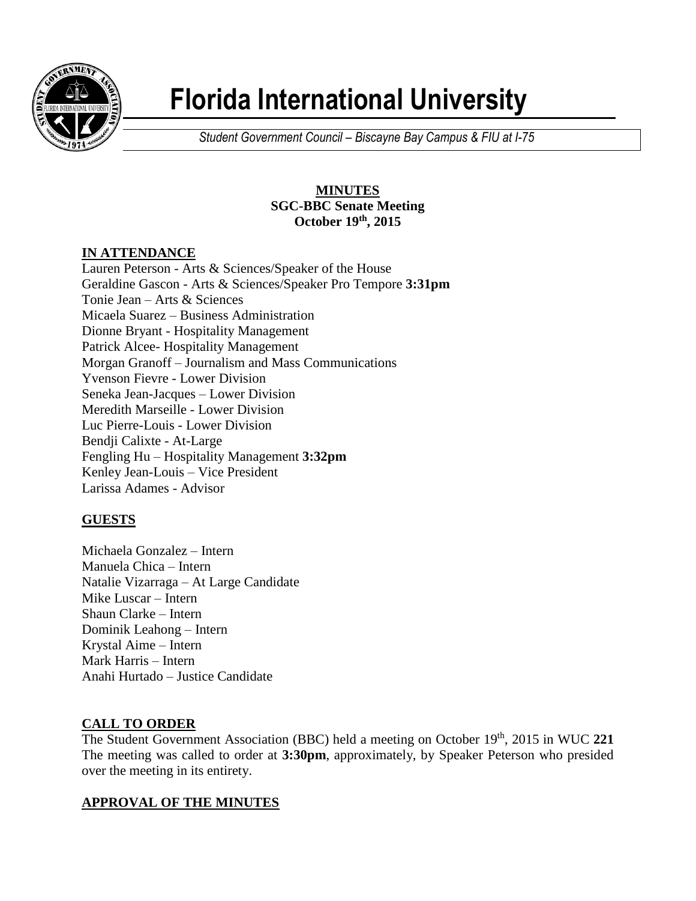

# **Florida International University**

*Student Government Council – Biscayne Bay Campus & FIU at I-75*

# **MINUTES SGC-BBC Senate Meeting October 19th , 2015**

# **IN ATTENDANCE**

Lauren Peterson - Arts & Sciences/Speaker of the House Geraldine Gascon - Arts & Sciences/Speaker Pro Tempore **3:31pm** Tonie Jean – Arts & Sciences Micaela Suarez – Business Administration Dionne Bryant - Hospitality Management Patrick Alcee- Hospitality Management Morgan Granoff – Journalism and Mass Communications Yvenson Fievre - Lower Division Seneka Jean-Jacques – Lower Division Meredith Marseille - Lower Division Luc Pierre-Louis - Lower Division Bendji Calixte - At-Large Fengling Hu – Hospitality Management **3:32pm** Kenley Jean-Louis – Vice President Larissa Adames - Advisor

# **GUESTS**

Michaela Gonzalez – Intern Manuela Chica – Intern Natalie Vizarraga – At Large Candidate Mike Luscar – Intern Shaun Clarke – Intern Dominik Leahong – Intern Krystal Aime – Intern Mark Harris – Intern Anahi Hurtado – Justice Candidate

## **CALL TO ORDER**

The Student Government Association (BBC) held a meeting on October 19<sup>th</sup>, 2015 in WUC 221 The meeting was called to order at **3:30pm**, approximately, by Speaker Peterson who presided over the meeting in its entirety.

## **APPROVAL OF THE MINUTES**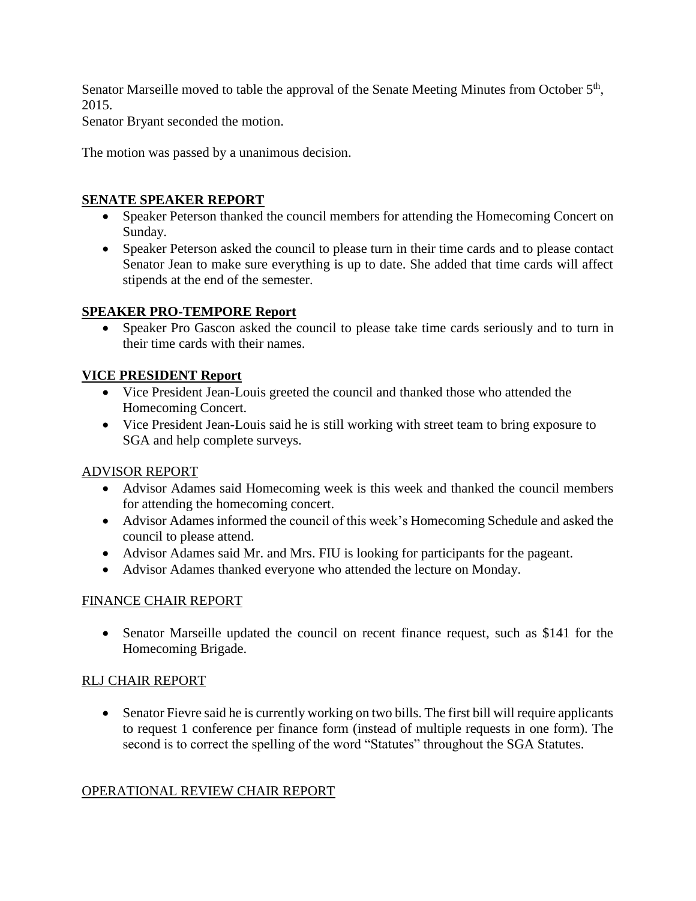Senator Marseille moved to table the approval of the Senate Meeting Minutes from October 5<sup>th</sup>, 2015.

Senator Bryant seconded the motion.

The motion was passed by a unanimous decision.

## **SENATE SPEAKER REPORT**

- Speaker Peterson thanked the council members for attending the Homecoming Concert on Sunday.
- Speaker Peterson asked the council to please turn in their time cards and to please contact Senator Jean to make sure everything is up to date. She added that time cards will affect stipends at the end of the semester.

## **SPEAKER PRO-TEMPORE Report**

 Speaker Pro Gascon asked the council to please take time cards seriously and to turn in their time cards with their names.

## **VICE PRESIDENT Report**

- Vice President Jean-Louis greeted the council and thanked those who attended the Homecoming Concert.
- Vice President Jean-Louis said he is still working with street team to bring exposure to SGA and help complete surveys.

#### ADVISOR REPORT

- Advisor Adames said Homecoming week is this week and thanked the council members for attending the homecoming concert.
- Advisor Adames informed the council of this week's Homecoming Schedule and asked the council to please attend.
- Advisor Adames said Mr. and Mrs. FIU is looking for participants for the pageant.
- Advisor Adames thanked everyone who attended the lecture on Monday.

## FINANCE CHAIR REPORT

• Senator Marseille updated the council on recent finance request, such as \$141 for the Homecoming Brigade.

#### RLJ CHAIR REPORT

 Senator Fievre said he is currently working on two bills. The first bill will require applicants to request 1 conference per finance form (instead of multiple requests in one form). The second is to correct the spelling of the word "Statutes" throughout the SGA Statutes.

#### OPERATIONAL REVIEW CHAIR REPORT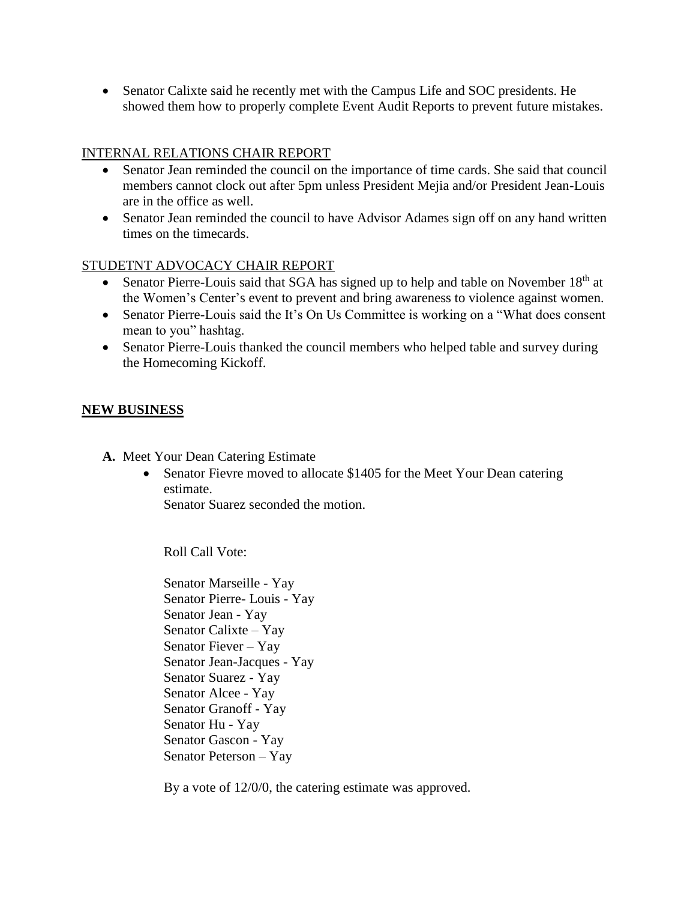Senator Calixte said he recently met with the Campus Life and SOC presidents. He showed them how to properly complete Event Audit Reports to prevent future mistakes.

# INTERNAL RELATIONS CHAIR REPORT

- Senator Jean reminded the council on the importance of time cards. She said that council members cannot clock out after 5pm unless President Mejia and/or President Jean-Louis are in the office as well.
- Senator Jean reminded the council to have Advisor Adames sign off on any hand written times on the timecards.

## STUDETNT ADVOCACY CHAIR REPORT

- Senator Pierre-Louis said that SGA has signed up to help and table on November  $18<sup>th</sup>$  at the Women's Center's event to prevent and bring awareness to violence against women.
- Senator Pierre-Louis said the It's On Us Committee is working on a "What does consent" mean to you" hashtag.
- Senator Pierre-Louis thanked the council members who helped table and survey during the Homecoming Kickoff.

## **NEW BUSINESS**

- **A.** Meet Your Dean Catering Estimate
	- Senator Fievre moved to allocate \$1405 for the Meet Your Dean catering estimate.

Senator Suarez seconded the motion.

Roll Call Vote:

Senator Marseille - Yay Senator Pierre- Louis - Yay Senator Jean - Yay Senator Calixte – Yay Senator Fiever – Yay Senator Jean-Jacques - Yay Senator Suarez - Yay Senator Alcee - Yay Senator Granoff - Yay Senator Hu - Yay Senator Gascon - Yay Senator Peterson – Yay

By a vote of 12/0/0, the catering estimate was approved.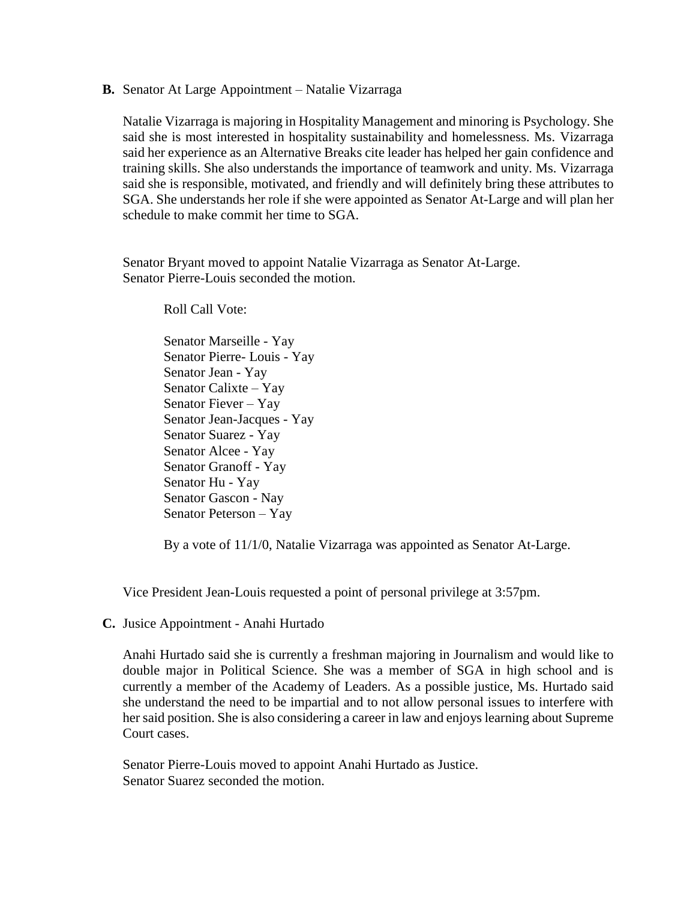**B.** Senator At Large Appointment – Natalie Vizarraga

Natalie Vizarraga is majoring in Hospitality Management and minoring is Psychology. She said she is most interested in hospitality sustainability and homelessness. Ms. Vizarraga said her experience as an Alternative Breaks cite leader has helped her gain confidence and training skills. She also understands the importance of teamwork and unity. Ms. Vizarraga said she is responsible, motivated, and friendly and will definitely bring these attributes to SGA. She understands her role if she were appointed as Senator At-Large and will plan her schedule to make commit her time to SGA.

Senator Bryant moved to appoint Natalie Vizarraga as Senator At-Large. Senator Pierre-Louis seconded the motion.

Roll Call Vote:

Senator Marseille - Yay Senator Pierre- Louis - Yay Senator Jean - Yay Senator Calixte – Yay Senator Fiever – Yay Senator Jean-Jacques - Yay Senator Suarez - Yay Senator Alcee - Yay Senator Granoff - Yay Senator Hu - Yay Senator Gascon - Nay Senator Peterson – Yay

By a vote of 11/1/0, Natalie Vizarraga was appointed as Senator At-Large.

Vice President Jean-Louis requested a point of personal privilege at 3:57pm.

**C.** Jusice Appointment - Anahi Hurtado

Anahi Hurtado said she is currently a freshman majoring in Journalism and would like to double major in Political Science. She was a member of SGA in high school and is currently a member of the Academy of Leaders. As a possible justice, Ms. Hurtado said she understand the need to be impartial and to not allow personal issues to interfere with her said position. She is also considering a career in law and enjoys learning about Supreme Court cases.

Senator Pierre-Louis moved to appoint Anahi Hurtado as Justice. Senator Suarez seconded the motion.